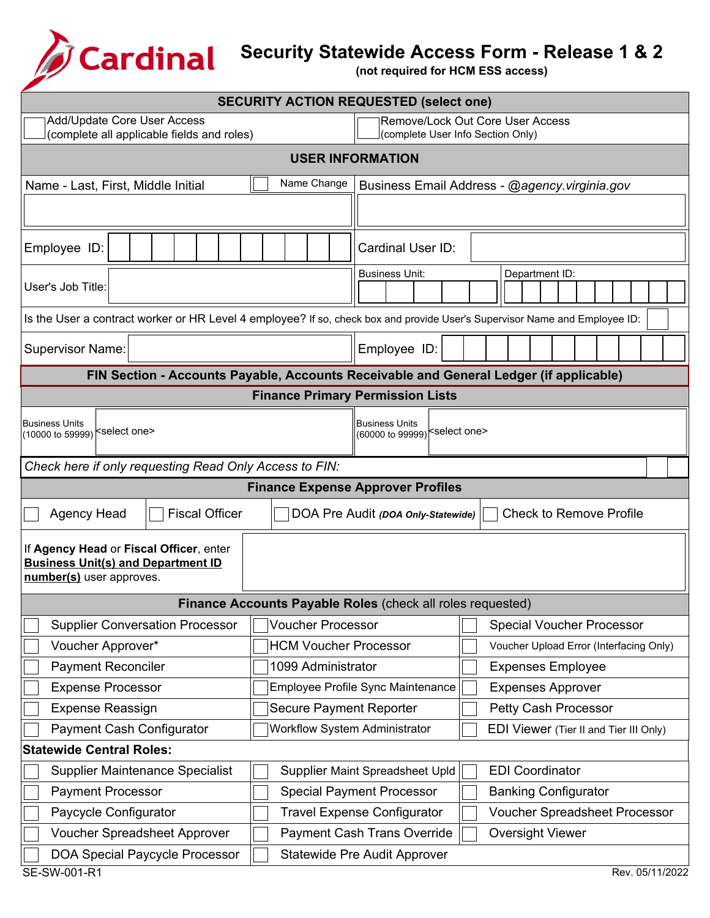B

## **Security Statewide Access Form - Release 1 & 2**

**(not required for HCM ESS access)**

| <b>SECURITY ACTION REQUESTED (select one)</b>                                                                              |                                                                                        |  |  |  |  |  |
|----------------------------------------------------------------------------------------------------------------------------|----------------------------------------------------------------------------------------|--|--|--|--|--|
| Add/Update Core User Access                                                                                                | Remove/Lock Out Core User Access                                                       |  |  |  |  |  |
| (complete all applicable fields and roles)<br>(complete User Info Section Only)                                            |                                                                                        |  |  |  |  |  |
| <b>USER INFORMATION</b>                                                                                                    |                                                                                        |  |  |  |  |  |
| Name Change<br>Name - Last, First, Middle Initial                                                                          | Business Email Address - @agency.virginia.gov                                          |  |  |  |  |  |
|                                                                                                                            |                                                                                        |  |  |  |  |  |
| Employee ID:                                                                                                               | Cardinal User ID:                                                                      |  |  |  |  |  |
| User's Job Title:                                                                                                          | <b>Business Unit:</b><br>Department ID:                                                |  |  |  |  |  |
| Is the User a contract worker or HR Level 4 employee? If so, check box and provide User's Supervisor Name and Employee ID: |                                                                                        |  |  |  |  |  |
| <b>Supervisor Name:</b>                                                                                                    | Employee ID:                                                                           |  |  |  |  |  |
|                                                                                                                            | FIN Section - Accounts Payable, Accounts Receivable and General Ledger (if applicable) |  |  |  |  |  |
|                                                                                                                            | <b>Finance Primary Permission Lists</b>                                                |  |  |  |  |  |
| <b>Business Units</b><br>(10000 to 59999) <sup> &lt;</sup> select one>                                                     | <b>Business Units</b><br>(60000 to 99999) select one>                                  |  |  |  |  |  |
| Check here if only requesting Read Only Access to FIN:                                                                     |                                                                                        |  |  |  |  |  |
|                                                                                                                            | <b>Finance Expense Approver Profiles</b>                                               |  |  |  |  |  |
| <b>Fiscal Officer</b><br><b>Agency Head</b>                                                                                | <b>Check to Remove Profile</b><br>DOA Pre Audit (DOA Only-Statewide)                   |  |  |  |  |  |
| If Agency Head or Fiscal Officer, enter<br><b>Business Unit(s) and Department ID</b><br>number(s) user approves.           |                                                                                        |  |  |  |  |  |
|                                                                                                                            | Finance Accounts Payable Roles (check all roles requested)                             |  |  |  |  |  |
| <b>Supplier Conversation Processor</b><br><b>Voucher Processor</b>                                                         | <b>Special Voucher Processor</b>                                                       |  |  |  |  |  |
| Voucher Approver*<br><b>HCM Voucher Processor</b>                                                                          | Voucher Upload Error (Interfacing Only)                                                |  |  |  |  |  |
| <b>Payment Reconciler</b><br>1099 Administrator                                                                            | <b>Expenses Employee</b>                                                               |  |  |  |  |  |
| <b>Expense Processor</b>                                                                                                   | Employee Profile Sync Maintenance<br><b>Expenses Approver</b>                          |  |  |  |  |  |
| <b>Expense Reassign</b><br><b>Secure Payment Reporter</b>                                                                  | Petty Cash Processor                                                                   |  |  |  |  |  |
| <b>Payment Cash Configurator</b><br><b>Workflow System Administrator</b>                                                   | EDI Viewer (Tier II and Tier III Only)                                                 |  |  |  |  |  |
| <b>Statewide Central Roles:</b>                                                                                            |                                                                                        |  |  |  |  |  |
| <b>Supplier Maintenance Specialist</b>                                                                                     | <b>EDI Coordinator</b><br>Supplier Maint Spreadsheet Upld                              |  |  |  |  |  |
| <b>Payment Processor</b>                                                                                                   | <b>Special Payment Processor</b><br><b>Banking Configurator</b>                        |  |  |  |  |  |
| Paycycle Configurator                                                                                                      | <b>Travel Expense Configurator</b><br><b>Voucher Spreadsheet Processor</b>             |  |  |  |  |  |
| <b>Voucher Spreadsheet Approver</b>                                                                                        | <b>Payment Cash Trans Override</b><br><b>Oversight Viewer</b>                          |  |  |  |  |  |
| <b>DOA Special Paycycle Processor</b><br><b>Statewide Pre Audit Approver</b><br>SE-SW-001-R1<br>Rev. 05/11/2022            |                                                                                        |  |  |  |  |  |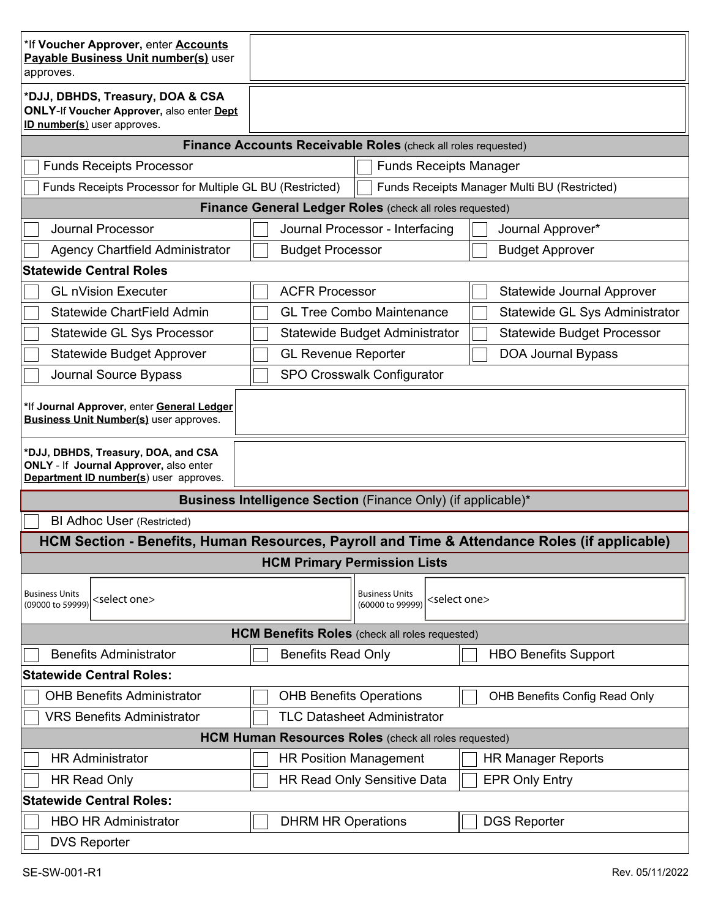| *If Voucher Approver, enter <b>Accounts</b><br>Payable Business Unit number(s) user<br>approves.                        |                                                               |                                                                        |                                   |  |  |
|-------------------------------------------------------------------------------------------------------------------------|---------------------------------------------------------------|------------------------------------------------------------------------|-----------------------------------|--|--|
| *DJJ, DBHDS, Treasury, DOA & CSA<br><b>ONLY-If Voucher Approver, also enter Dept</b><br>ID number(s) user approves.     |                                                               |                                                                        |                                   |  |  |
| Finance Accounts Receivable Roles (check all roles requested)                                                           |                                                               |                                                                        |                                   |  |  |
| <b>Funds Receipts Processor</b>                                                                                         | <b>Funds Receipts Manager</b>                                 |                                                                        |                                   |  |  |
| Funds Receipts Processor for Multiple GL BU (Restricted)<br>Funds Receipts Manager Multi BU (Restricted)                |                                                               |                                                                        |                                   |  |  |
| Finance General Ledger Roles (check all roles requested)                                                                |                                                               |                                                                        |                                   |  |  |
| <b>Journal Processor</b>                                                                                                | Journal Processor - Interfacing                               |                                                                        | Journal Approver*                 |  |  |
| <b>Agency Chartfield Administrator</b>                                                                                  | <b>Budget Processor</b>                                       |                                                                        | <b>Budget Approver</b>            |  |  |
| <b>Statewide Central Roles</b>                                                                                          |                                                               |                                                                        |                                   |  |  |
| <b>GL nVision Executer</b>                                                                                              | <b>ACFR Processor</b>                                         |                                                                        | Statewide Journal Approver        |  |  |
| Statewide ChartField Admin                                                                                              | <b>GL Tree Combo Maintenance</b>                              |                                                                        | Statewide GL Sys Administrator    |  |  |
| <b>Statewide GL Sys Processor</b>                                                                                       | Statewide Budget Administrator                                |                                                                        | <b>Statewide Budget Processor</b> |  |  |
| <b>Statewide Budget Approver</b>                                                                                        | <b>GL Revenue Reporter</b>                                    |                                                                        | DOA Journal Bypass                |  |  |
| Journal Source Bypass                                                                                                   | <b>SPO Crosswalk Configurator</b>                             |                                                                        |                                   |  |  |
| *If Journal Approver, enter General Ledger<br><b>Business Unit Number(s)</b> user approves.                             |                                                               |                                                                        |                                   |  |  |
| *DJJ, DBHDS, Treasury, DOA, and CSA<br>ONLY - If Journal Approver, also enter<br>Department ID number(s) user approves. |                                                               |                                                                        |                                   |  |  |
|                                                                                                                         | Business Intelligence Section (Finance Only) (if applicable)* |                                                                        |                                   |  |  |
| <b>BI Adhoc User (Restricted)</b>                                                                                       |                                                               |                                                                        |                                   |  |  |
| HCM Section - Benefits, Human Resources, Payroll and Time & Attendance Roles (if applicable)                            |                                                               |                                                                        |                                   |  |  |
|                                                                                                                         | <b>HCM Primary Permission Lists</b>                           |                                                                        |                                   |  |  |
| <b>Business Units</b><br><select one=""><br/>(09000 to 59999)</select>                                                  |                                                               | <b>Business Units</b><br><select one=""><br/>(60000 to 99999)</select> |                                   |  |  |
| <b>HCM Benefits Roles</b> (check all roles requested)                                                                   |                                                               |                                                                        |                                   |  |  |
| <b>Benefits Administrator</b>                                                                                           | <b>Benefits Read Only</b>                                     |                                                                        | <b>HBO Benefits Support</b>       |  |  |
| <b>Statewide Central Roles:</b>                                                                                         |                                                               |                                                                        |                                   |  |  |
| <b>OHB Benefits Administrator</b>                                                                                       | <b>OHB Benefits Operations</b>                                |                                                                        | OHB Benefits Config Read Only     |  |  |
| <b>VRS Benefits Administrator</b>                                                                                       | <b>TLC Datasheet Administrator</b>                            |                                                                        |                                   |  |  |
| <b>HCM Human Resources Roles</b> (check all roles requested)                                                            |                                                               |                                                                        |                                   |  |  |
| <b>HR Administrator</b>                                                                                                 | <b>HR Position Management</b>                                 |                                                                        | <b>HR Manager Reports</b>         |  |  |
| <b>HR Read Only</b>                                                                                                     | <b>HR Read Only Sensitive Data</b>                            |                                                                        | <b>EPR Only Entry</b>             |  |  |
| <b>Statewide Central Roles:</b>                                                                                         |                                                               |                                                                        |                                   |  |  |
| <b>HBO HR Administrator</b>                                                                                             | <b>DHRM HR Operations</b>                                     |                                                                        | <b>DGS Reporter</b>               |  |  |
| <b>DVS Reporter</b>                                                                                                     |                                                               |                                                                        |                                   |  |  |